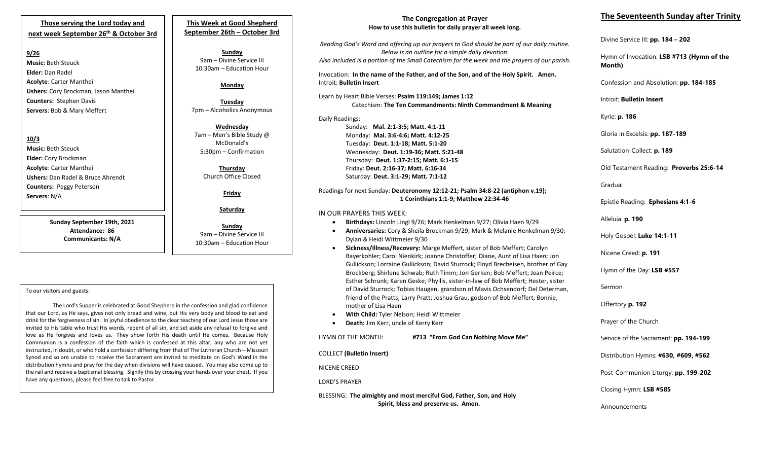## **Those serving the Lord today and next week September 26th & October 3rd**

## **9/26**

**Music:** Beth Steuck **Elder:** Dan Radel **Acolyte**: Carter Manthei **Ushers:** Cory Brockman, Jason Manthei **Counters:** Stephen Davis **Servers**: Bob & Mary Meffert

**10/3 Music:** Beth Steuck **Elder:** Cory Brockman **Acolyte**: Carter Manthei **Ushers:** Dan Radel & Bruce Ahrendt **Counters:** Peggy Peterson **Servers**: N/A

> **Sunday September 19th, 2021 Attendance: 86 Communicants: N/A**

# **This Week at Good Shepherd September 26th – October 3rd**

**Sunday** 9am – Divine Service III 10:30am – Education Hour

## **Monday**

**Tuesday** 7pm – Alcoholics Anonymous

**Wednesday** 7am – Men's Bible Study @ McDonald's 5:30pm – Confirmation

## **Thursday** Church Office Closed

**Friday**

**Saturday**

**Sunday**  9am – Divine Service III 10:30am – Education Hour

### To our visitors and guests:

The Lord's Supper is celebrated at Good Shepherd in the confession and glad confidence that our Lord, as He says, gives not only bread and wine, but His very body and blood to eat and drink for the forgiveness of sin. In joyful obedience to the clear teaching of our Lord Jesus those are invited to His table who trust His words, repent of all sin, and set aside any refusal to forgive and love as He forgives and loves us. They show forth His death until He comes. Because Holy Communion is a confession of the faith which is confessed at this altar, any who are not yet instructed, in doubt, or who hold a confession differing from that of The Lutheran Church—Missouri Synod and so are unable to receive the Sacrament are invited to meditate on God's Word in the distribution hymns and pray for the day when divisions will have ceased. You may also come up to the rail and receive a baptismal blessing. Signify this by crossing your hands over your chest. If you have any questions, please feel free to talk to Pastor.

## **The Congregation at Prayer How to use this bulletin for daily prayer all week long.**

*Reading God's Word and offering up our prayers to God should be part of our daily routine. Below is an outline for a simple daily devotion. Also included is a portion of the Small Catechism for the week and the prayers of our parish.*

Invocation: **In the name of the Father, and of the Son, and of the Holy Spirit. Amen.** Introit: **Bulletin Insert**

Learn by Heart Bible Verses: **Psalm 119:149; James 1:12** Catechism: **The Ten Commandments: Ninth Commandment & Meaning**

Daily Readings: Sunday: **Mal. 2:1-3:5; Matt. 4:1-11** Monday: **Mal. 3:6-4:6; Matt. 4:12-25** Tuesday: **Deut. 1:1-18; Matt. 5:1-20** Wednesday: **Deut. 1:19-36; Matt. 5:21-48** Thursday: **Deut. 1:37-2:15; Matt. 6:1-15** Friday: **Deut. 2:16-37; Matt. 6:16-34** Saturday: **Deut. 3:1-29; Matt. 7:1-12**

#### Readings for next Sunday: **Deuteronomy 12:12-21; Psalm 34:8-22 (antiphon v.19); 1 Corinthians 1:1-9; Matthew 22:34-46**

## IN OUR PRAYERS THIS WEEK:

- **Birthdays:** Lincoln Lingl 9/26; Mark Henkelman 9/27; Olivia Haen 9/29
- **Anniversaries:** Cory & Sheila Brockman 9/29; Mark & Melanie Henkelman 9/30; Dylan & Heidi Wittmeier 9/30
- **Sickness/Illness/Recovery:** Marge Meffert, sister of Bob Meffert; Carolyn Bayerkohler; Carol Nienkirk; Joanne Christoffer; Diane, Aunt of Lisa Haen; Jon Gullickson; Lorraine Gullickson; David Sturrock; Floyd Brecheisen, brother of Gay Brockberg; Shirlene Schwab; Ruth Timm; Jon Gerken; Bob Meffert; Jean Peirce; Esther Schrunk; Karen Geske; Phyllis, sister-in-law of Bob Meffert; Hester, sister of David Sturrock; Tobias Haugen, grandson of Mavis Ochsendorf; Del Determan, friend of the Pratts; Larry Pratt; Joshua Grau, godson of Bob Meffert; Bonnie, mother of Lisa Haen
- **With Child:** Tyler Nelson; Heidi Wittmeier
- **Death:** Jim Kerr, uncle of Kerry Kerr

HYMN OF THE MONTH: **#713 "From God Can Nothing Move Me"**

COLLECT **(Bulletin Insert)**

NICENE CREED

LORD'S PRAYER

BLESSING: **The almighty and most merciful God, Father, Son, and Holy Spirit, bless and preserve us. Amen.**

# **The Seventeenth Sunday after Trinity**

Divine Service III: **pp. 184 – 202**

Hymn of Invocation: **LSB #713 (Hymn of the Month)**

Confession and Absolution: **pp. 184-185**

Introit: **Bulletin Insert** 

Kyrie: **p. 186**

Gloria in Excelsis: **pp. 187-189**

Salutation-Collect: **p. 189**

Old Testament Reading: **Proverbs 25:6-14**

Gradual

Epistle Reading: **Ephesians 4:1-6**

Alleluia: **p. 190**

Holy Gospel: **Luke 14:1-11**

Nicene Creed: **p. 191**

Hymn of the Day: **LSB #557**

Sermon

Offertory **p. 192**

Prayer of the Church

Service of the Sacrament: **pp. 194-199**

Distribution Hymns: **#630, #609, #562**

Post-Communion Liturgy: **pp. 199-202** 

Closing Hymn: **LSB #585**

Announcements